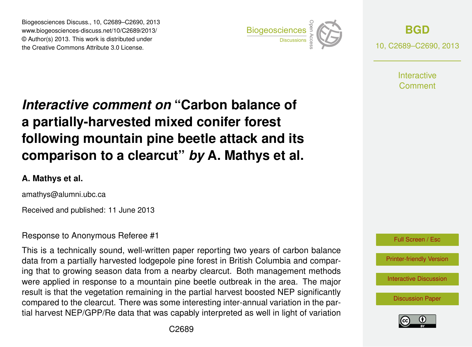Biogeosciences Discuss., 10, C2689–C2690, 2013 www.biogeosciences-discuss.net/10/C2689/2013/ www.biogeosciences-ulscuss.net/10/O2009/2013/<br>© Author(s) 2013. This work is distributed under the Creative Commons Attribute 3.0 License.



**[BGD](http://www.biogeosciences-discuss.net)** 10, C2689–C2690, 2013

> **Interactive** Comment

## Earth System a partially-harvested mixed conifer forest  $\overline{\phantom{a}}$ Interactive comment on "Carbon balance of following mountain pine beetle attack and its  $G = G$ a vicarut  $\mathbf{r}$  $\sim$  ot of comparison to a clearcut" *by* A. Mathys et al.

## **A. Mathys et al.**

amathys@alumni.ubc.ca

 $\overline{G}$ Received and published: 11 June 2013

## Response to Anonymous Referee #1

This is a technically sound, well-written paper reporting two years of carbon balance data from a partially harvested lodgepole pine forest in British Columbia and comparr<br>le  $\frac{1}{c}$ ing that to growing season data from a nearby clearcut. Both management methods result is that the vegetation remaining in the partial harvest boosted NEP significantly ו<br>ח<br>רו n<br>n<br>11 compared to the clearcut. There was some interesting inter-annual variation in the parwere applied in response to a mountain pine beetle outbreak in the area. The major tial harvest NEP/GPP/Re data that was capably interpreted as well in light of variation